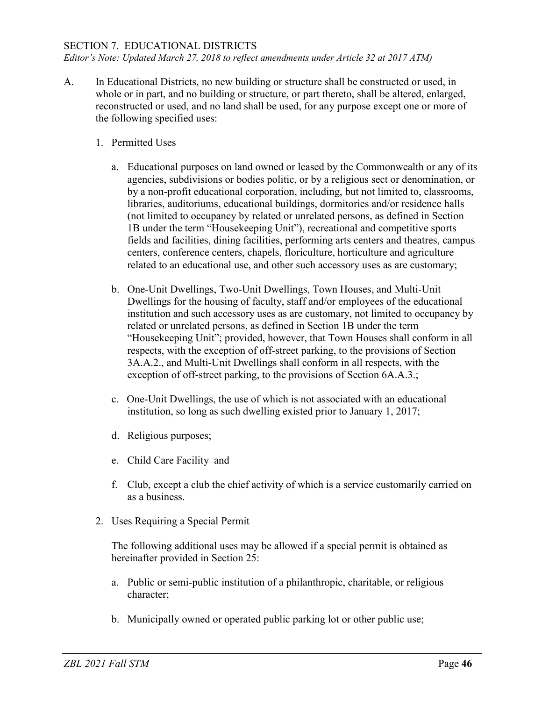## SECTION 7. EDUCATIONAL DISTRICTS

*Editor's Note: Updated March 27, 2018 to reflect amendments under Article 32 at 2017 ATM)*

- A. In Educational Districts, no new building or structure shall be constructed or used, in whole or in part, and no building or structure, or part thereto, shall be altered, enlarged, reconstructed or used, and no land shall be used, for any purpose except one or more of the following specified uses:
	- 1. Permitted Uses
		- a. Educational purposes on land owned or leased by the Commonwealth or any of its agencies, subdivisions or bodies politic, or by a religious sect or denomination, or by a non-profit educational corporation, including, but not limited to, classrooms, libraries, auditoriums, educational buildings, dormitories and/or residence halls (not limited to occupancy by related or unrelated persons, as defined in Section 1B under the term "Housekeeping Unit"), recreational and competitive sports fields and facilities, dining facilities, performing arts centers and theatres, campus centers, conference centers, chapels, floriculture, horticulture and agriculture related to an educational use, and other such accessory uses as are customary;
		- b. One-Unit Dwellings, Two-Unit Dwellings, Town Houses, and Multi-Unit Dwellings for the housing of faculty, staff and/or employees of the educational institution and such accessory uses as are customary, not limited to occupancy by related or unrelated persons, as defined in Section 1B under the term "Housekeeping Unit"; provided, however, that Town Houses shall conform in all respects, with the exception of off-street parking, to the provisions of Section 3A.A.2., and Multi-Unit Dwellings shall conform in all respects, with the exception of off-street parking, to the provisions of Section 6A.A.3.;
		- c. One-Unit Dwellings, the use of which is not associated with an educational institution, so long as such dwelling existed prior to January 1, 2017;
		- d. Religious purposes;
		- e. Child Care Facility and
		- f. Club, except a club the chief activity of which is a service customarily carried on as a business.
	- 2. Uses Requiring a Special Permit

The following additional uses may be allowed if a special permit is obtained as hereinafter provided in Section 25:

- a. Public or semi-public institution of a philanthropic, charitable, or religious character;
- b. Municipally owned or operated public parking lot or other public use;